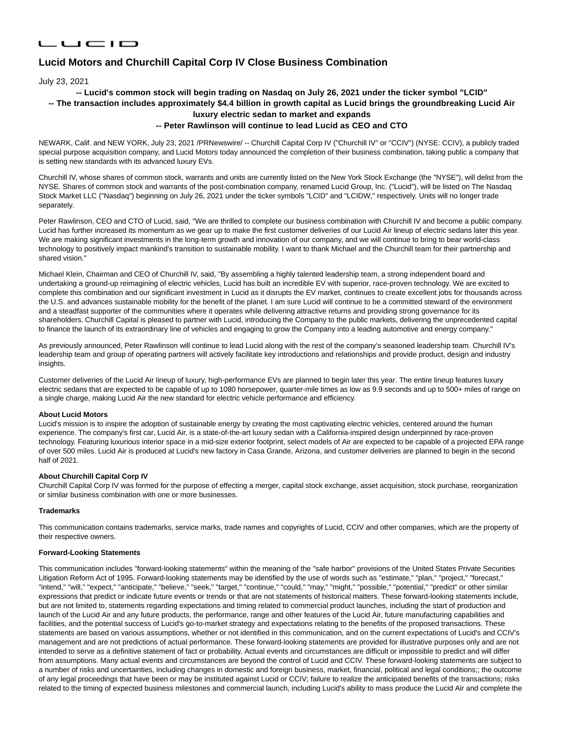## LUCID

# **Lucid Motors and Churchill Capital Corp IV Close Business Combination**

July 23, 2021

## **-- Lucid's common stock will begin trading on Nasdaq on July 26, 2021 under the ticker symbol "LCID"**

## **-- The transaction includes approximately \$4.4 billion in growth capital as Lucid brings the groundbreaking Lucid Air luxury electric sedan to market and expands**

## **-- Peter Rawlinson will continue to lead Lucid as CEO and CTO**

NEWARK, Calif. and NEW YORK, July 23, 2021 /PRNewswire/ -- Churchill Capital Corp IV ("Churchill IV" or "CCIV") (NYSE: CCIV), a publicly traded special purpose acquisition company, and Lucid Motors today announced the completion of their business combination, taking public a company that is setting new standards with its advanced luxury EVs.

Churchill IV, whose shares of common stock, warrants and units are currently listed on the New York Stock Exchange (the "NYSE"), will delist from the NYSE. Shares of common stock and warrants of the post-combination company, renamed Lucid Group, Inc. ("Lucid"), will be listed on The Nasdaq Stock Market LLC ("Nasdaq") beginning on July 26, 2021 under the ticker symbols "LCID" and "LCIDW," respectively. Units will no longer trade separately.

Peter Rawlinson, CEO and CTO of Lucid, said, "We are thrilled to complete our business combination with Churchill IV and become a public company. Lucid has further increased its momentum as we gear up to make the first customer deliveries of our Lucid Air lineup of electric sedans later this year. We are making significant investments in the long-term growth and innovation of our company, and we will continue to bring to bear world-class technology to positively impact mankind's transition to sustainable mobility. I want to thank Michael and the Churchill team for their partnership and shared vision."

Michael Klein, Chairman and CEO of Churchill IV, said, "By assembling a highly talented leadership team, a strong independent board and undertaking a ground-up reimagining of electric vehicles, Lucid has built an incredible EV with superior, race-proven technology. We are excited to complete this combination and our significant investment in Lucid as it disrupts the EV market, continues to create excellent jobs for thousands across the U.S. and advances sustainable mobility for the benefit of the planet. I am sure Lucid will continue to be a committed steward of the environment and a steadfast supporter of the communities where it operates while delivering attractive returns and providing strong governance for its shareholders. Churchill Capital is pleased to partner with Lucid, introducing the Company to the public markets, delivering the unprecedented capital to finance the launch of its extraordinary line of vehicles and engaging to grow the Company into a leading automotive and energy company."

As previously announced, Peter Rawlinson will continue to lead Lucid along with the rest of the company's seasoned leadership team. Churchill IV's leadership team and group of operating partners will actively facilitate key introductions and relationships and provide product, design and industry insights.

Customer deliveries of the Lucid Air lineup of luxury, high-performance EVs are planned to begin later this year. The entire lineup features luxury electric sedans that are expected to be capable of up to 1080 horsepower, quarter-mile times as low as 9.9 seconds and up to 500+ miles of range on a single charge, making Lucid Air the new standard for electric vehicle performance and efficiency.

#### **About Lucid Motors**

Lucid's mission is to inspire the adoption of sustainable energy by creating the most captivating electric vehicles, centered around the human experience. The company's first car, Lucid Air, is a state-of-the-art luxury sedan with a California-inspired design underpinned by race-proven technology. Featuring luxurious interior space in a mid-size exterior footprint, select models of Air are expected to be capable of a projected EPA range of over 500 miles. Lucid Air is produced at Lucid's new factory in Casa Grande, Arizona, and customer deliveries are planned to begin in the second half of 2021.

#### **About Churchill Capital Corp IV**

Churchill Capital Corp IV was formed for the purpose of effecting a merger, capital stock exchange, asset acquisition, stock purchase, reorganization or similar business combination with one or more businesses.

#### **Trademarks**

This communication contains trademarks, service marks, trade names and copyrights of Lucid, CCIV and other companies, which are the property of their respective owners.

#### **Forward-Looking Statements**

This communication includes "forward-looking statements" within the meaning of the "safe harbor" provisions of the United States Private Securities Litigation Reform Act of 1995. Forward-looking statements may be identified by the use of words such as "estimate," "plan," "project," "forecast," "intend," "will," "expect," "anticipate," "believe," "seek," "target," "continue," "could," "may," "might," "possible," "potential," "predict" or other similar expressions that predict or indicate future events or trends or that are not statements of historical matters. These forward-looking statements include, but are not limited to, statements regarding expectations and timing related to commercial product launches, including the start of production and launch of the Lucid Air and any future products, the performance, range and other features of the Lucid Air, future manufacturing capabilities and facilities, and the potential success of Lucid's go-to-market strategy and expectations relating to the benefits of the proposed transactions. These statements are based on various assumptions, whether or not identified in this communication, and on the current expectations of Lucid's and CCIV's management and are not predictions of actual performance. These forward-looking statements are provided for illustrative purposes only and are not intended to serve as a definitive statement of fact or probability. Actual events and circumstances are difficult or impossible to predict and will differ from assumptions. Many actual events and circumstances are beyond the control of Lucid and CCIV. These forward-looking statements are subject to a number of risks and uncertainties, including changes in domestic and foreign business, market, financial, political and legal conditions;; the outcome of any legal proceedings that have been or may be instituted against Lucid or CCIV; failure to realize the anticipated benefits of the transactions; risks related to the timing of expected business milestones and commercial launch, including Lucid's ability to mass produce the Lucid Air and complete the